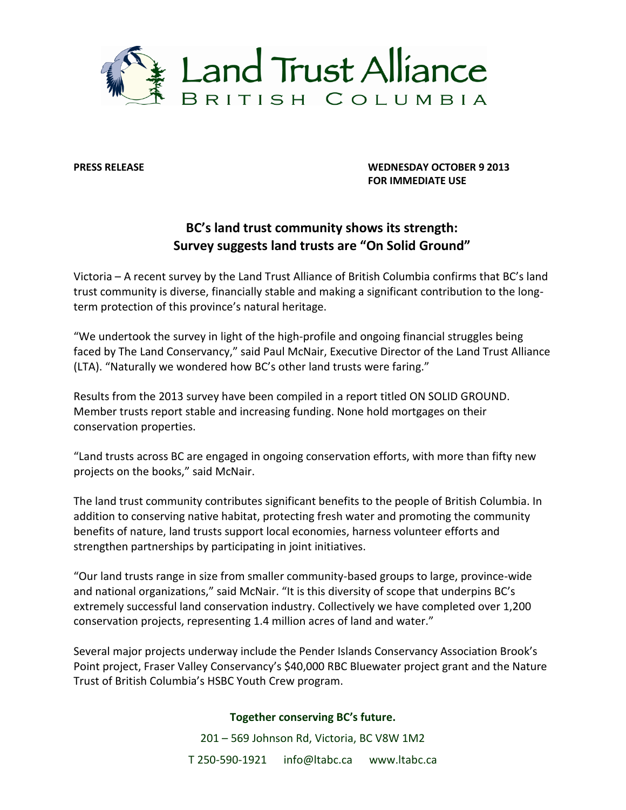

**PRESS RELEASE WEDNESDAY OCTOBER 9 2013 FOR IMMEDIATE USE**

## **BC's land trust community shows its strength: Survey suggests land trusts are "On Solid Ground"**

Victoria – A recent survey by the Land Trust Alliance of British Columbia confirms that BC's land trust community is diverse, financially stable and making a significant contribution to the longterm protection of this province's natural heritage.

"We undertook the survey in light of the high-profile and ongoing financial struggles being faced by The Land Conservancy," said Paul McNair, Executive Director of the Land Trust Alliance (LTA). "Naturally we wondered how BC's other land trusts were faring."

Results from the 2013 survey have been compiled in a report titled ON SOLID GROUND. Member trusts report stable and increasing funding. None hold mortgages on their conservation properties.

"Land trusts across BC are engaged in ongoing conservation efforts, with more than fifty new projects on the books," said McNair.

The land trust community contributes significant benefits to the people of British Columbia. In addition to conserving native habitat, protecting fresh water and promoting the community benefits of nature, land trusts support local economies, harness volunteer efforts and strengthen partnerships by participating in joint initiatives.

"Our land trusts range in size from smaller community-based groups to large, province-wide and national organizations," said McNair. "It is this diversity of scope that underpins BC's extremely successful land conservation industry. Collectively we have completed over 1,200 conservation projects, representing 1.4 million acres of land and water."

Several major projects underway include the Pender Islands Conservancy Association Brook's Point project, Fraser Valley Conservancy's \$40,000 RBC Bluewater project grant and the Nature Trust of British Columbia's HSBC Youth Crew program.

## **Together conserving BC's future.**

201 – 569 Johnson Rd, Victoria, BC V8W 1M2 T 250-590-1921 info@ltabc.ca www.ltabc.ca